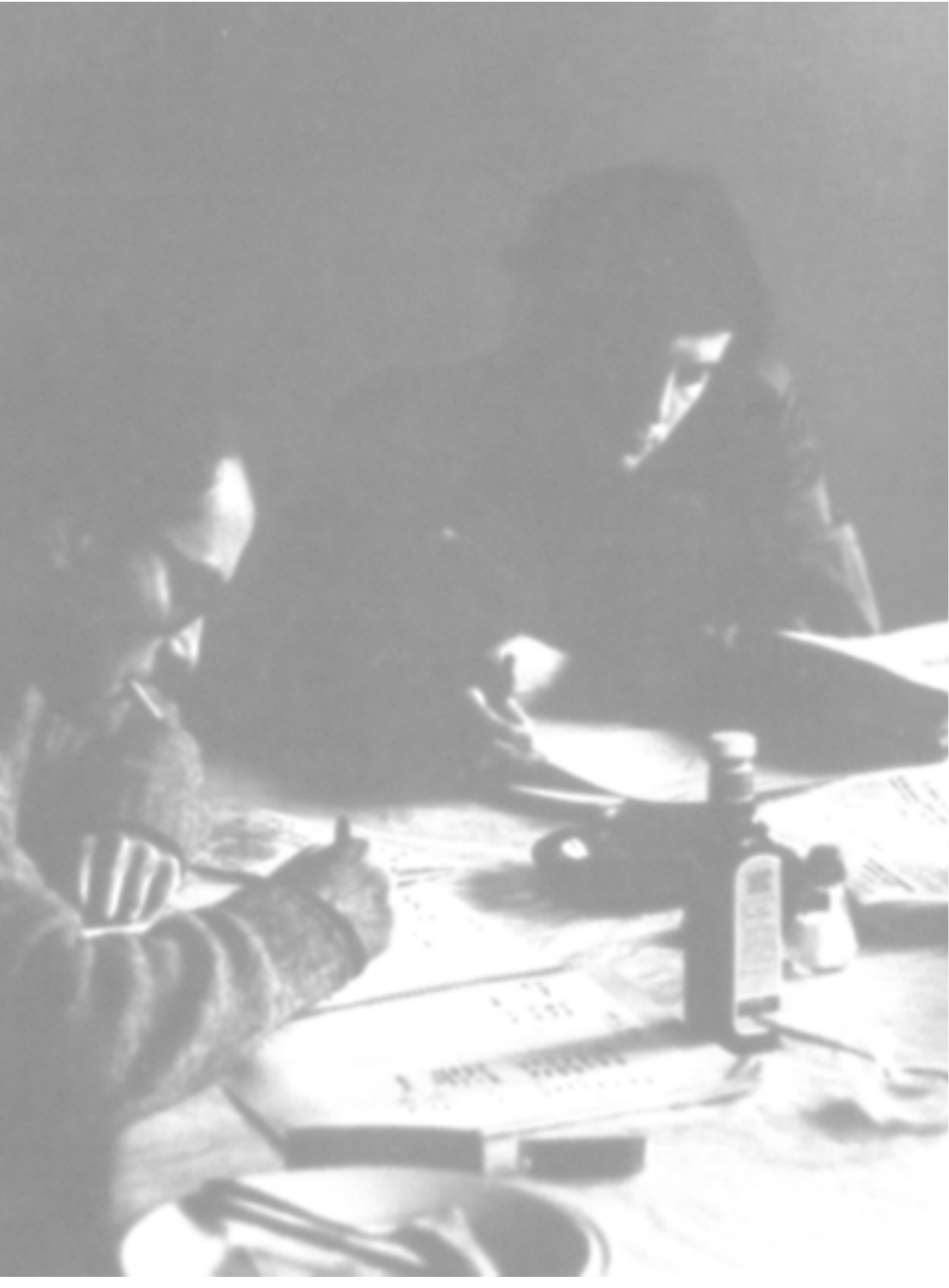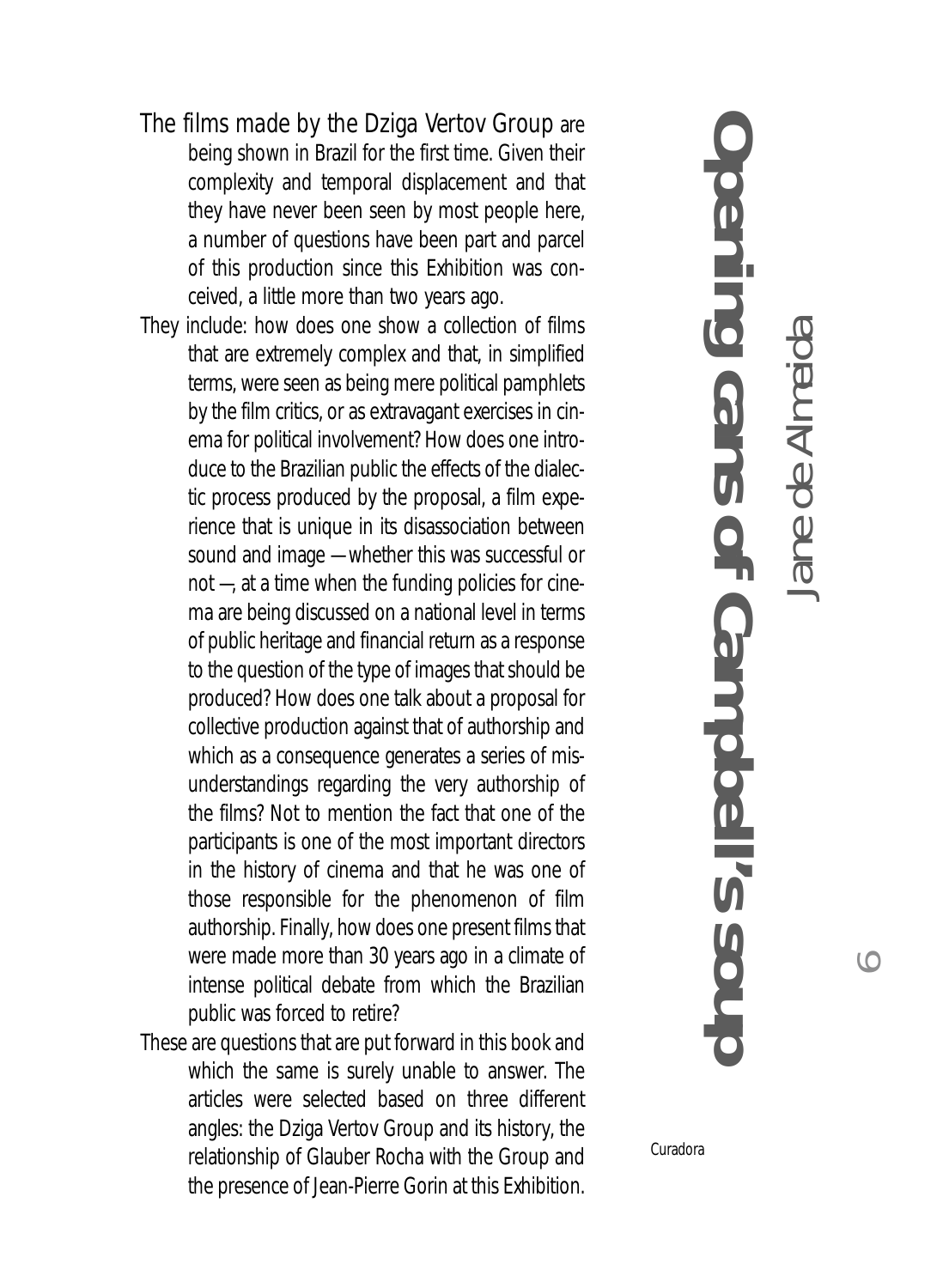- The films made by the Dziga Vertov Group are being shown in Brazil for the first time. Given their complexity and temporal displacement and that they have never been seen by most people here, a number of questions have been part and parcel of this production since this Exhibition was conceived, a little more than two years ago.
- They include: how does one show a collection of films that are extremely complex and that, in simplified terms, were seen as being mere political pamphlets by the film critics, or as extravagant exercises in cinema for political involvement? How does one introduce to the Brazilian public the effects of the dialectic process produced by the proposal, a film experience that is unique in its disassociation between sound and image — whether this was successful or not —, at a time when the funding policies for cinema are being discussed on a national level in terms of public heritage and financial return as a response to the question of the type of images that should be produced? How does one talk about a proposal for collective production against that of authorship and which as a consequence generates a series of misunderstandings regarding the very authorship of the films? Not to mention the fact that one of the participants is one of the most important directors in the history of cinema and that he was one of those responsible for the phenomenon of film authorship. Finally, how does one present films that were made more than 30 years ago in a climate of intense political debate from which the Brazilian public was forced to retire?
- These are questions that are put forward in this book and which the same is surely unable to answer. The articles were selected based on three different angles: the Dziga Vertov Group and its history, the relationship of Glauber Rocha with the Group and the presence of Jean-Pierre Gorin at this Exhibition.

## *Opening cans of Campbell's soup* pening cans *Jane de Almeida* de Almei of Campbell's soul

*6*

Curadora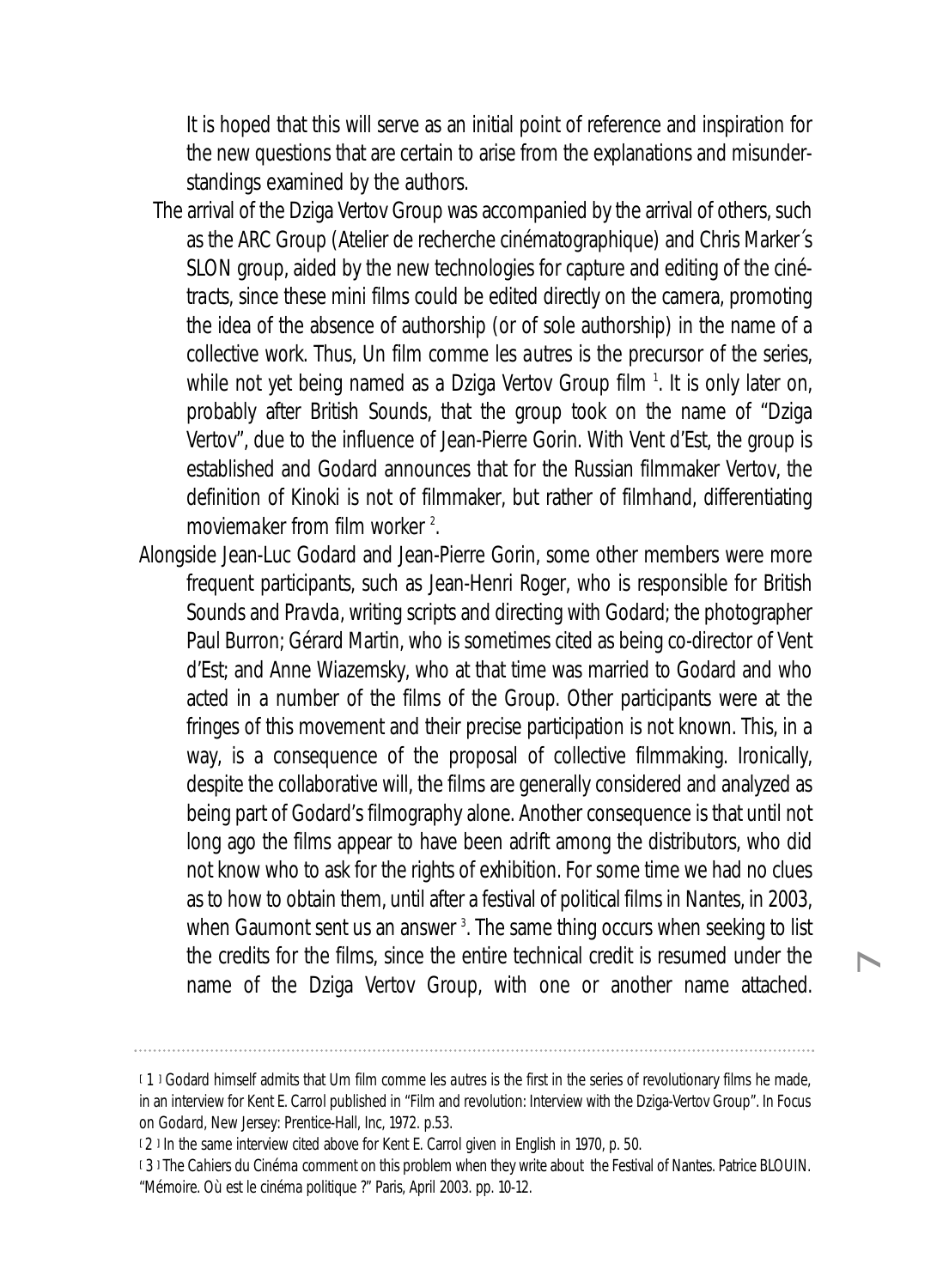It is hoped that this will serve as an initial point of reference and inspiration for the new questions that are certain to arise from the explanations and misunderstandings examined by the authors.

- The arrival of the Dziga Vertov Group was accompanied by the arrival of others, such as the ARC Group (Atelier de recherche cinématographique) and Chris Marker´s SLON group, aided by the new technologies for capture and editing of the *cinétracts*, since these mini films could be edited directly on the camera, promoting the idea of the absence of authorship (or of sole authorship) in the name of a collective work. Thus, *Un film comme les autres* is the precursor of the series, while not yet being named as a Dziga Vertov Group film 1 . It is only later on, probably after British Sounds, that the group took on the name of "Dziga Vertov", due to the influence of Jean-Pierre Gorin. With *Vent d'Est*, the group is established and Godard announces that for the Russian filmmaker Vertov, the definition of *Kinoki* is not of filmmaker, but rather of filmhand, differentiating *moviemaker* from film *worker* <sup>2</sup> .
- Alongside Jean-Luc Godard and Jean-Pierre Gorin, some other members were more frequent participants, such as Jean-Henri Roger, who is responsible for *British Sounds* and *Pravda*, writing scripts and directing with Godard; the photographer Paul Burron; Gérard Martin, who is sometimes cited as being co-director of *Vent d'Est*; and Anne Wiazemsky, who at that time was married to Godard and who acted in a number of the films of the Group. Other participants were at the fringes of this movement and their precise participation is not known. This, in a way, is a consequence of the proposal of collective filmmaking. Ironically, despite the collaborative will, the films are generally considered and analyzed as being part of Godard's filmography alone. Another consequence is that until not long ago the films appear to have been adrift among the distributors, who did not know who to ask for the rights of exhibition. For some time we had no clues as to how to obtain them, until after a festival of political films in Nantes, in 2003, when Gaumont sent us an answer <sup>3</sup>. The same thing occurs when seeking to list the credits for the films, since the entire technical credit is resumed under the name of the Dziga Vertov Group, with one or another name attached.

<sup>[</sup> 1 ] Godard himself admits that *Um film comme les autres* is the first in the series of revolutionary films he made, in an interview for Kent E. Carrol published in "Film and revolution: Interview with the Dziga-Vertov Group". In *Focus on Godard*, New Jersey: Prentice-Hall, Inc, 1972. p.53.

<sup>[2]</sup> In the same interview cited above for Kent E. Carrol given in English in 1970, p. 50.

<sup>[</sup> 3 ] The *Cahiers du Cinéma* comment on this problem when they write about the Festival of Nantes. Patrice BLOUIN. "Mémoire. Où est le cinéma politique ?" Paris, April 2003. pp. 10-12.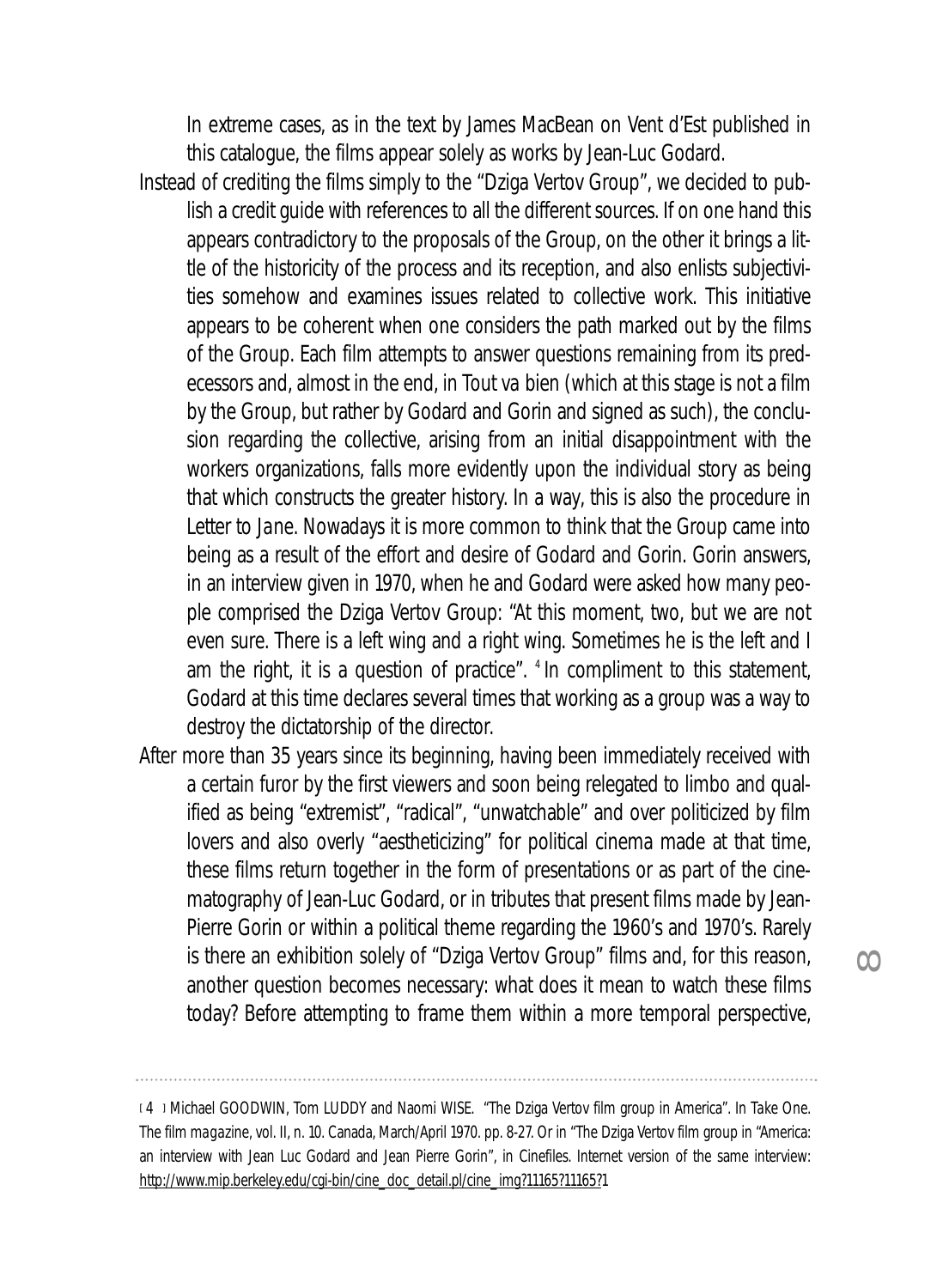In extreme cases, as in the text by James MacBean on *Vent d'Est* published in this catalogue, the films appear solely as works by Jean-Luc Godard.

- Instead of crediting the films simply to the "Dziga Vertov Group", we decided to publish a credit guide with references to all the different sources. If on one hand this appears contradictory to the proposals of the Group, on the other it brings a little of the historicity of the process and its reception, and also enlists subjectivities somehow and examines issues related to collective work. This initiative appears to be coherent when one considers the path marked out by the films of the Group. Each film attempts to answer questions remaining from its predecessors and, almost in the end, in *Tout va bien* (which at this stage is not a film by the Group, but rather by Godard and Gorin and signed as such), the conclusion regarding the collective, arising from an initial disappointment with the workers organizations, falls more evidently upon the individual story as being that which constructs the greater history. In a way, this is also the procedure in *Letter to Jane*. Nowadays it is more common to think that the Group came into being as a result of the effort and desire of Godard and Gorin. Gorin answers, in an interview given in 1970, when he and Godard were asked how many people comprised the Dziga Vertov Group: "At this moment, two, but we are not even sure. There is a left wing and a right wing. Sometimes he is the left and I am the right, it is a question of practice". 4 In compliment to this statement, Godard at this time declares several times that working as a group was a way to destroy the dictatorship of the director.
- After more than 35 years since its beginning, having been immediately received with a certain furor by the first viewers and soon being relegated to limbo and qualified as being "extremist", "radical", "unwatchable" and over politicized by film lovers and also overly "aestheticizing" for political cinema made at that time, these films return together in the form of presentations or as part of the cinematography of Jean-Luc Godard, or in tributes that present films made by Jean-Pierre Gorin or within a political theme regarding the 1960's and 1970's. Rarely is there an exhibition solely of "Dziga Vertov Group" films and, for this reason, another question becomes necessary: what does it mean to watch these films today? Before attempting to frame them within a more temporal perspective,

<sup>[</sup> 4 ] Michael GOODWIN, Tom LUDDY and Naomi WISE. "The Dziga Vertov film group in America". In *Take One. The film magazine*, vol. II, n. 10. Canada, March/April 1970. pp. 8-27. Or in "The Dziga Vertov film group in "America: an interview with Jean Luc Godard and Jean Pierre Gorin", in *Cinefiles*. Internet version of the same interview: http://www.mip.berkeley.edu/cgi-bin/cine\_doc\_detail.pl/cine\_img?11165?11165?1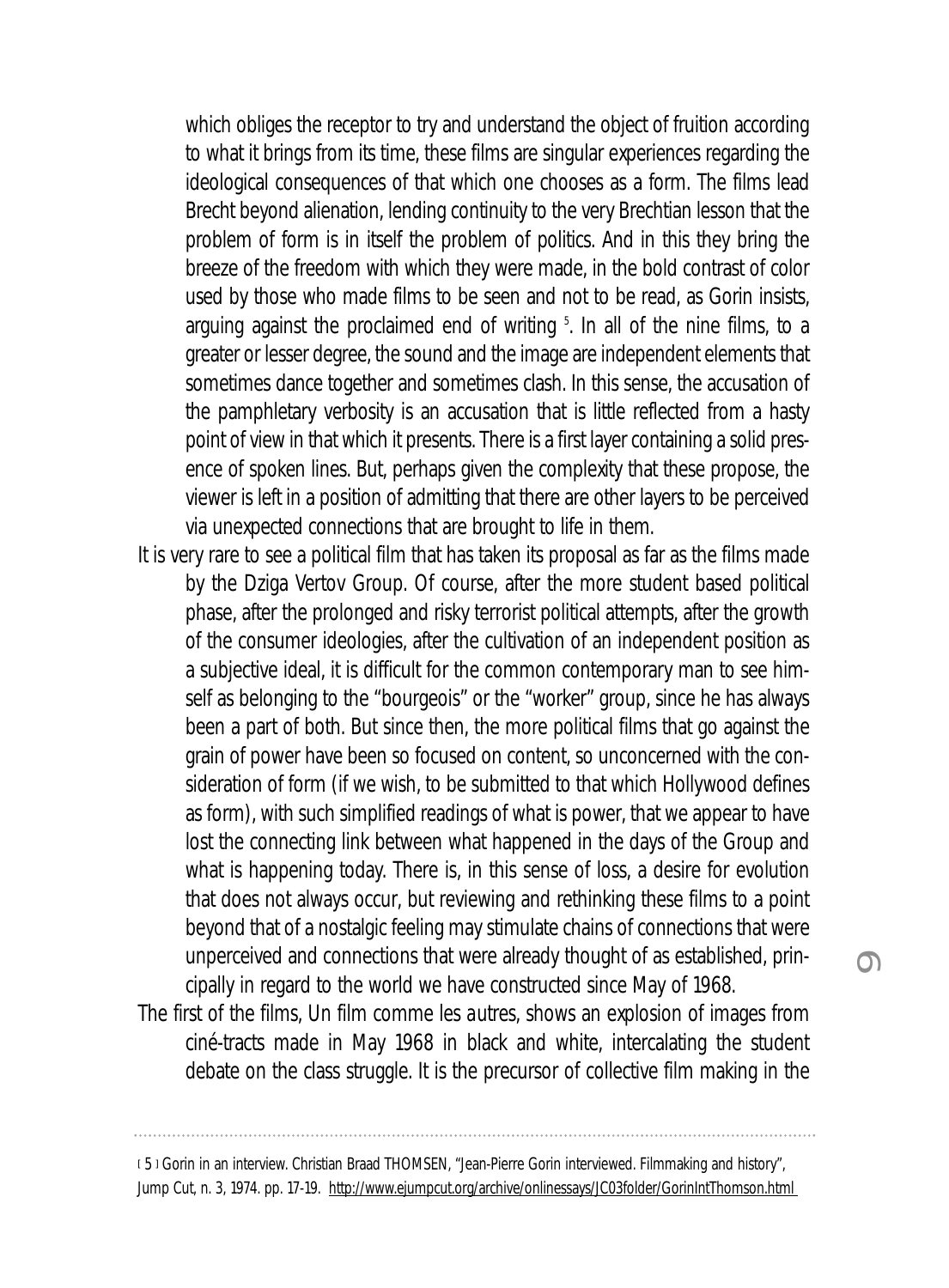which obliges the receptor to try and understand the object of fruition according to what it brings from its time, these films are singular experiences regarding the ideological consequences of that which one chooses as a form. The films lead Brecht beyond alienation, lending continuity to the very Brechtian lesson that the problem of form is in itself the problem of politics. And in this they bring the breeze of the freedom with which they were made, in the bold contrast of color used by those who made films to be seen and not to be read, as Gorin insists, arguing against the proclaimed end of writing <sup>5</sup>. In all of the nine films, to a greater or lesser degree, the sound and the image are independent elements that sometimes dance together and sometimes clash. In this sense, the accusation of the pamphletary verbosity is an accusation that is little reflected from a hasty point of view in that which it presents. There is a first layer containing a solid presence of spoken lines. But, perhaps given the complexity that these propose, the viewer is left in a position of admitting that there are other layers to be perceived via unexpected connections that are brought to life in them.

- It is very rare to see a political film that has taken its proposal as far as the films made by the Dziga Vertov Group. Of course, after the more student based political phase, after the prolonged and risky terrorist political attempts, after the growth of the consumer ideologies, after the cultivation of an independent position as a subjective ideal, it is difficult for the common contemporary man to see himself as belonging to the "bourgeois" or the "worker" group, since he has always been a part of both. But since then, the more political films that go against the grain of power have been so focused on content, so unconcerned with the consideration of form (if we wish, to be submitted to that which Hollywood defines as form), with such simplified readings of what is power, that we appear to have lost the connecting link between what happened in the days of the Group and what is happening today. There is, in this sense of loss, a desire for evolution that does not always occur, but reviewing and rethinking these films to a point beyond that of a nostalgic feeling may stimulate chains of connections that were unperceived and connections that were already thought of as established, principally in regard to the world we have constructed since May of 1968.
- The first of the films, *Un film comme les autres*, shows an explosion of images from ciné-tracts made in May 1968 in black and white, intercalating the student debate on the class struggle. It is the precursor of collective film making in the

<sup>[</sup> 5 ] Gorin in an interview. Christian Braad THOMSEN, "Jean-Pierre Gorin interviewed. Filmmaking and history", Jump Cut, n. 3, 1974. pp. 17-19. http://www.ejumpcut.org/archive/onlinessays/JC03folder/GorinIntThomson.html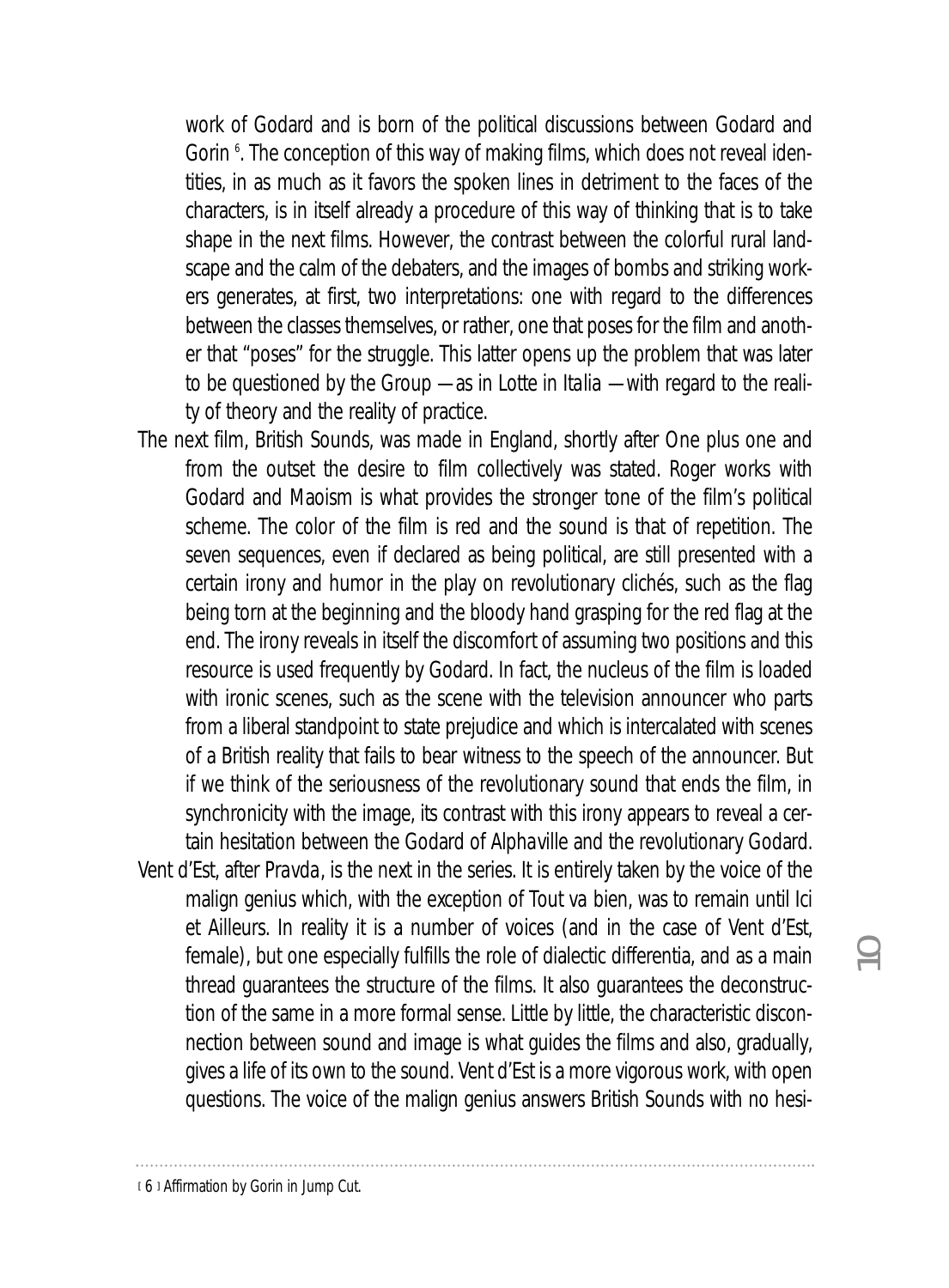work of Godard and is born of the political discussions between Godard and Gorin <sup>6</sup>. The conception of this way of making films, which does not reveal identities, in as much as it favors the spoken lines in detriment to the faces of the characters, is in itself already a procedure of this way of thinking that is to take shape in the next films. However, the contrast between the colorful rural landscape and the calm of the debaters, and the images of bombs and striking workers generates, at first, two interpretations: one with regard to the differences between the classes themselves, or rather, one that poses for the film and another that "poses" for the struggle. This latter opens up the problem that was later to be questioned by the Group — as in *Lotte in Italia* — with regard to the reality of theory and the reality of practice.

- The next film, *British Sounds*, was made in England, shortly after *One plus one* and from the outset the desire to film collectively was stated. Roger works with Godard and Maoism is what provides the stronger tone of the film's political scheme. The color of the film is red and the sound is that of repetition. The seven sequences, even if declared as being political, are still presented with a certain irony and humor in the play on revolutionary clichés, such as the flag being torn at the beginning and the bloody hand grasping for the red flag at the end. The irony reveals in itself the discomfort of assuming two positions and this resource is used frequently by Godard. In fact, the nucleus of the film is loaded with ironic scenes, such as the scene with the television announcer who parts from a liberal standpoint to state prejudice and which is intercalated with scenes of a British reality that fails to bear witness to the speech of the announcer. But if we think of the seriousness of the revolutionary sound that ends the film, in synchronicity with the image, its contrast with this irony appears to reveal a certain hesitation between the Godard of *Alphaville* and the revolutionary Godard.
- *Vent d'Est*, after *Pravda*, is the next in the series. It is entirely taken by the voice of the malign genius which, with the exception of *Tout va bien*, was to remain until *Ici et Ailleurs*. In reality it is a number of voices (and in the case of Vent d'Est, female), but one especially fulfills the role of dialectic differentia, and as a main thread guarantees the structure of the films. It also guarantees the deconstruction of the same in a more formal sense. Little by little, the characteristic disconnection between sound and image is what guides the films and also, gradually, gives a life of its own to the sound. *Vent d'Est* is a more vigorous work, with open questions. The voice of the malign genius answers *British Sounds* with no hesi-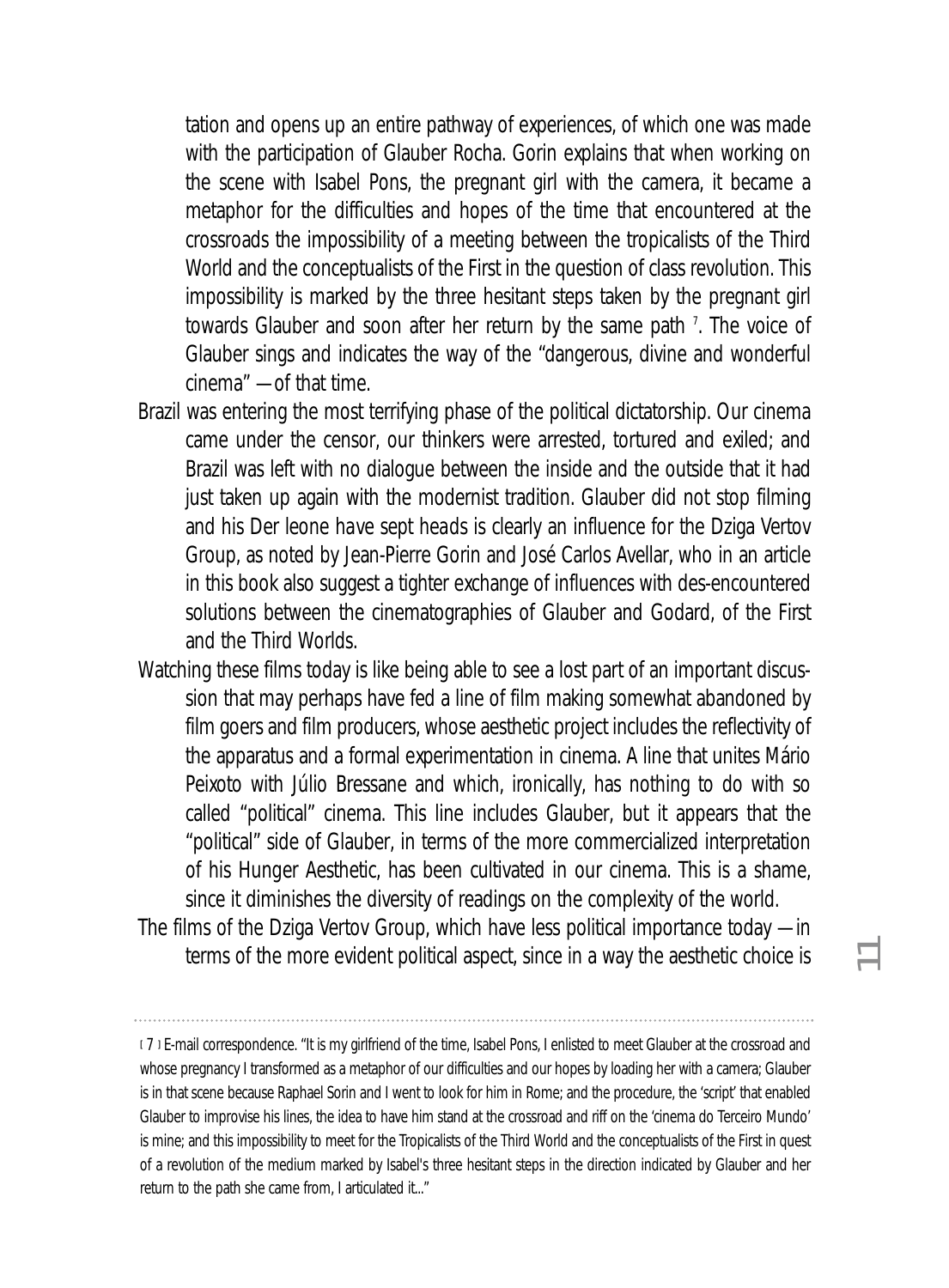tation and opens up an entire pathway of experiences, of which one was made with the participation of Glauber Rocha. Gorin explains that when working on the scene with Isabel Pons, the pregnant girl with the camera, it became a metaphor for the difficulties and hopes of the time that encountered at the crossroads the impossibility of a meeting between the tropicalists of the Third World and the conceptualists of the First in the question of class revolution. This impossibility is marked by the three hesitant steps taken by the pregnant girl towards Glauber and soon after her return by the same path <sup>7</sup>. The voice of Glauber sings and indicates the way of the "dangerous, divine and wonderful  $c$ inema"  $-$  of that time.

- Brazil was entering the most terrifying phase of the political dictatorship. Our cinema came under the censor, our thinkers were arrested, tortured and exiled; and Brazil was left with no dialogue between the inside and the outside that it had just taken up again with the modernist tradition. Glauber did not stop filming and his *Der leone have sept heads* is clearly an influence for the Dziga Vertov Group, as noted by Jean-Pierre Gorin and José Carlos Avellar, who in an article in this book also suggest a tighter exchange of influences with des-encountered solutions between the cinematographies of Glauber and Godard, of the First and the Third Worlds.
- Watching these films today is like being able to see a lost part of an important discussion that may perhaps have fed a line of film making somewhat abandoned by film goers and film producers, whose aesthetic project includes the reflectivity of the apparatus and a formal experimentation in cinema. A line that unites Mário Peixoto with Júlio Bressane and which, ironically, has nothing to do with so called "political" cinema. This line includes Glauber, but it appears that the "political" side of Glauber, in terms of the more commercialized interpretation of his *Hunger Aesthetic*, has been cultivated in our cinema. This is a shame, since it diminishes the diversity of readings on the complexity of the world.
- The films of the Dziga Vertov Group, which have less political importance today  $-$  in terms of the more evident political aspect, since in a way the aesthetic choice is

<sup>[</sup> 7 ] E-mail correspondence. "It is my girlfriend of the time, Isabel Pons, I enlisted to meet Glauber at the crossroad and whose pregnancy I transformed as a metaphor of our difficulties and our hopes by loading her with a camera; Glauber is in that scene because Raphael Sorin and I went to look for him in Rome; and the procedure, the 'script' that enabled Glauber to improvise his lines, the idea to have him stand at the crossroad and riff on the 'cinema do Terceiro Mundo' is mine; and this impossibility to meet for the Tropicalists of the Third World and the conceptualists of the First in quest of a revolution of the medium marked by Isabel's three hesitant steps in the direction indicated by Glauber and her return to the path she came from, I articulated it..."